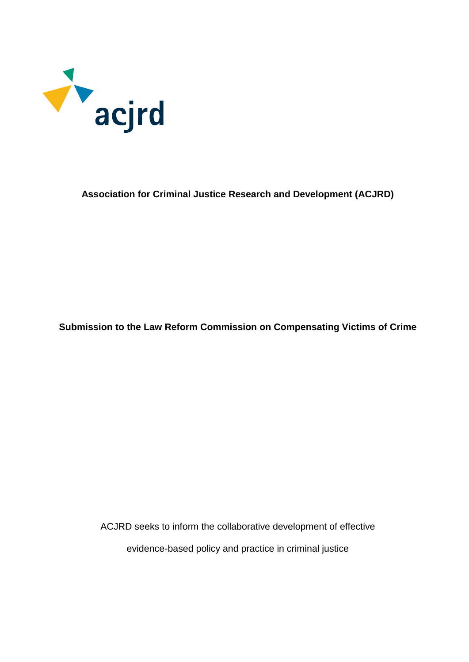

# **Association for Criminal Justice Research and Development (ACJRD)**

**Submission to the Law Reform Commission on Compensating Victims of Crime**

ACJRD seeks to inform the collaborative development of effective evidence-based policy and practice in criminal justice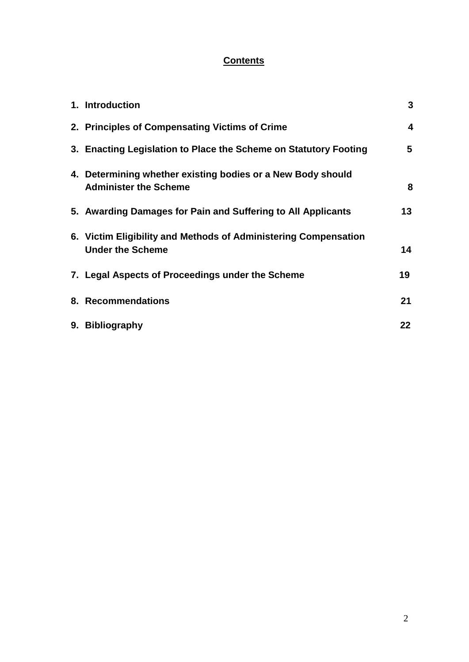#### **Contents**

| 1. Introduction                                                                             | 3  |
|---------------------------------------------------------------------------------------------|----|
| 2. Principles of Compensating Victims of Crime                                              | 4  |
| 3. Enacting Legislation to Place the Scheme on Statutory Footing                            | 5  |
| 4. Determining whether existing bodies or a New Body should<br><b>Administer the Scheme</b> | 8  |
| 5. Awarding Damages for Pain and Suffering to All Applicants                                | 13 |
| 6. Victim Eligibility and Methods of Administering Compensation<br><b>Under the Scheme</b>  | 14 |
| 7. Legal Aspects of Proceedings under the Scheme                                            | 19 |
| 8. Recommendations                                                                          | 21 |
| 9. Bibliography                                                                             | 22 |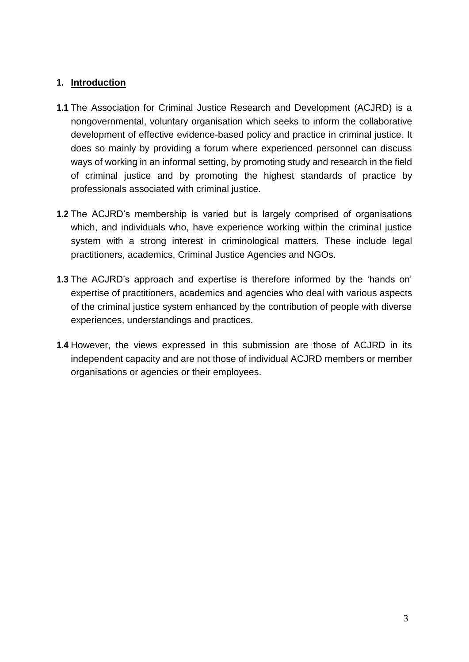#### **1. Introduction**

- **1.1** The Association for Criminal Justice Research and Development (ACJRD) is a nongovernmental, voluntary organisation which seeks to inform the collaborative development of effective evidence-based policy and practice in criminal justice. It does so mainly by providing a forum where experienced personnel can discuss ways of working in an informal setting, by promoting study and research in the field of criminal justice and by promoting the highest standards of practice by professionals associated with criminal justice.
- **1.2** The ACJRD's membership is varied but is largely comprised of organisations which, and individuals who, have experience working within the criminal justice system with a strong interest in criminological matters. These include legal practitioners, academics, Criminal Justice Agencies and NGOs.
- **1.3** The ACJRD's approach and expertise is therefore informed by the 'hands on' expertise of practitioners, academics and agencies who deal with various aspects of the criminal justice system enhanced by the contribution of people with diverse experiences, understandings and practices.
- **1.4** However, the views expressed in this submission are those of ACJRD in its independent capacity and are not those of individual ACJRD members or member organisations or agencies or their employees.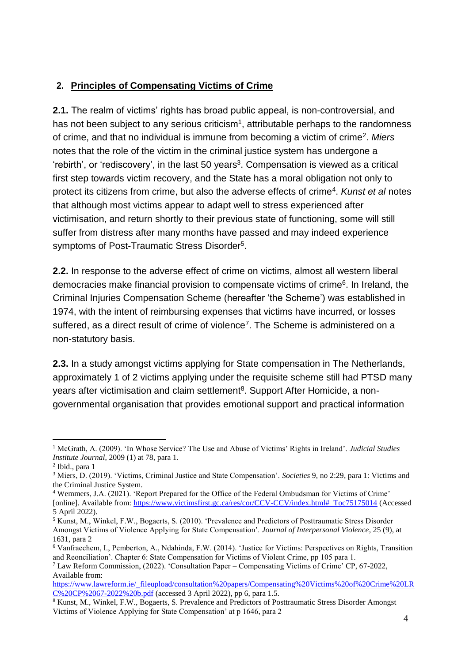#### **2. Principles of Compensating Victims of Crime**

**2.1.** The realm of victims' rights has broad public appeal, is non-controversial, and has not been subject to any serious criticism<sup>1</sup>, attributable perhaps to the randomness of crime, and that no individual is immune from becoming a victim of crime<sup>2</sup>. Miers notes that the role of the victim in the criminal justice system has undergone a 'rebirth', or 'rediscovery', in the last 50 years<sup>3</sup>. Compensation is viewed as a critical first step towards victim recovery, and the State has a moral obligation not only to protect its citizens from crime, but also the adverse effects of crime<sup>4</sup>. Kunst et al notes that although most victims appear to adapt well to stress experienced after victimisation, and return shortly to their previous state of functioning, some will still suffer from distress after many months have passed and may indeed experience symptoms of Post-Traumatic Stress Disorder<sup>5</sup>.

**2.2.** In response to the adverse effect of crime on victims, almost all western liberal democracies make financial provision to compensate victims of crime<sup>6</sup>. In Ireland, the Criminal Injuries Compensation Scheme (hereafter 'the Scheme') was established in 1974, with the intent of reimbursing expenses that victims have incurred, or losses suffered, as a direct result of crime of violence<sup>7</sup>. The Scheme is administered on a non-statutory basis.

**2.3.** In a study amongst victims applying for State compensation in The Netherlands, approximately 1 of 2 victims applying under the requisite scheme still had PTSD many years after victimisation and claim settlement<sup>8</sup>. Support After Homicide, a nongovernmental organisation that provides emotional support and practical information

 $\overline{a}$ <sup>1</sup> McGrath, A. (2009). 'In Whose Service? The Use and Abuse of Victims' Rights in Ireland'. *Judicial Studies Institute Journal*, 2009 (1) at 78, para 1.

<sup>2</sup> Ibid., para 1

<sup>3</sup> Miers, D. (2019). 'Victims, Criminal Justice and State Compensation'. *Societies* 9, no 2:29, para 1: Victims and the Criminal Justice System.

<sup>4</sup> Wemmers, J.A. (2021). 'Report Prepared for the Office of the Federal Ombudsman for Victims of Crime' [online]. Available from: [https://www.victimsfirst.gc.ca/res/cor/CCV-CCV/index.html#\\_Toc75175014](https://www.victimsfirst.gc.ca/res/cor/CCV-CCV/index.html#_Toc75175014) (Accessed 5 April 2022).

<sup>5</sup> Kunst, M., Winkel, F.W., Bogaerts, S. (2010). 'Prevalence and Predictors of Posttraumatic Stress Disorder Amongst Victims of Violence Applying for State Compensation'. *Journal of Interpersonal Violence*, 25 (9), at 1631, para 2

<sup>6</sup> Vanfraechem, I., Pemberton, A., Ndahinda, F.W. (2014). 'Justice for Victims: Perspectives on Rights, Transition and Reonciliation'. Chapter 6: State Compensation for Victims of Violent Crime, pp 105 para 1.

 $^7$  Law Reform Commission, (2022). 'Consultation Paper – Compensating Victims of Crime' CP, 67-2022, Available from:

[https://www.lawreform.ie/\\_fileupload/consultation%20papers/Compensating%20Victims%20of%20Crime%20LR](https://www.lawreform.ie/_fileupload/consultation%20papers/Compensating%20Victims%20of%20Crime%20LRC%20CP%2067-2022%20b.pdf) [C%20CP%2067-2022%20b.pdf](https://www.lawreform.ie/_fileupload/consultation%20papers/Compensating%20Victims%20of%20Crime%20LRC%20CP%2067-2022%20b.pdf) (accessed 3 April 2022), pp 6, para 1.5.

<sup>8</sup> Kunst, M., Winkel, F.W., Bogaerts, S. Prevalence and Predictors of Posttraumatic Stress Disorder Amongst Victims of Violence Applying for State Compensation' at p 1646, para 2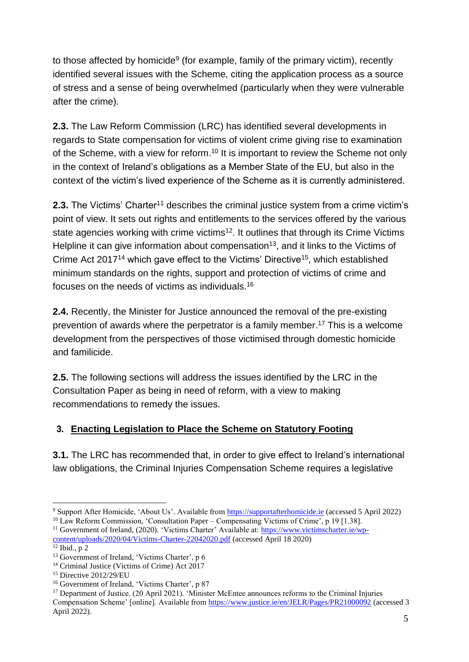to those affected by homicide<sup>9</sup> (for example, family of the primary victim), recently identified several issues with the Scheme, citing the application process as a source of stress and a sense of being overwhelmed (particularly when they were vulnerable after the crime).

**2.3.** The Law Reform Commission (LRC) has identified several developments in regards to State compensation for victims of violent crime giving rise to examination of the Scheme, with a view for reform.<sup>10</sup> It is important to review the Scheme not only in the context of Ireland's obligations as a Member State of the EU, but also in the context of the victim's lived experience of the Scheme as it is currently administered.

**2.3.** The Victims' Charter<sup>11</sup> describes the criminal justice system from a crime victim's point of view. It sets out rights and entitlements to the services offered by the various state agencies working with crime victims<sup>12</sup>. It outlines that through its Crime Victims Helpline it can give information about compensation<sup>13</sup>, and it links to the Victims of Crime Act 2017<sup>14</sup> which gave effect to the Victims' Directive<sup>15</sup>, which established minimum standards on the rights, support and protection of victims of crime and focuses on the needs of victims as individuals. 16

**2.4.** Recently, the Minister for Justice announced the removal of the pre-existing prevention of awards where the perpetrator is a family member. <sup>17</sup> This is a welcome development from the perspectives of those victimised through domestic homicide and familicide.

**2.5.** The following sections will address the issues identified by the LRC in the Consultation Paper as being in need of reform, with a view to making recommendations to remedy the issues.

### **3. Enacting Legislation to Place the Scheme on Statutory Footing**

**3.1.** The LRC has recommended that, in order to give effect to Ireland's international law obligations, the Criminal Injuries Compensation Scheme requires a legislative

<sup>9</sup> Support After Homicide, 'About Us'. Available from [https://supportafterhomicide.ie](https://supportafterhomicide.ie/) (accessed 5 April 2022) <sup>10</sup> Law Reform Commission, 'Consultation Paper – Compensating Victims of Crime', p 19 [1.38].

<sup>&</sup>lt;sup>11</sup> Government of Ireland, (2020). 'Victims Charter' Available at: [https://www.victimscharter.ie/wp](https://www.victimscharter.ie/wp-content/uploads/2020/04/Victims-Charter-22042020.pdf)[content/uploads/2020/04/Victims-Charter-22042020.pdf](https://www.victimscharter.ie/wp-content/uploads/2020/04/Victims-Charter-22042020.pdf) (accessed April 18 2020)

 $12$  Ibid., p 2

<sup>&</sup>lt;sup>13</sup> Government of Ireland, 'Victims Charter', p 6

<sup>&</sup>lt;sup>14</sup> Criminal Justice (Victims of Crime) Act 2017

<sup>15</sup> Directive 2012/29/EU

<sup>16</sup> Government of Ireland, 'Victims Charter', p 87

<sup>&</sup>lt;sup>17</sup> Department of Justice. (20 April 2021). 'Minister McEntee announces reforms to the Criminal Injuries Compensation Scheme' [online]. Available fro[m https://www.justice.ie/en/JELR/Pages/PR21000092](https://www.justice.ie/en/JELR/Pages/PR21000092) (accessed 3 April 2022).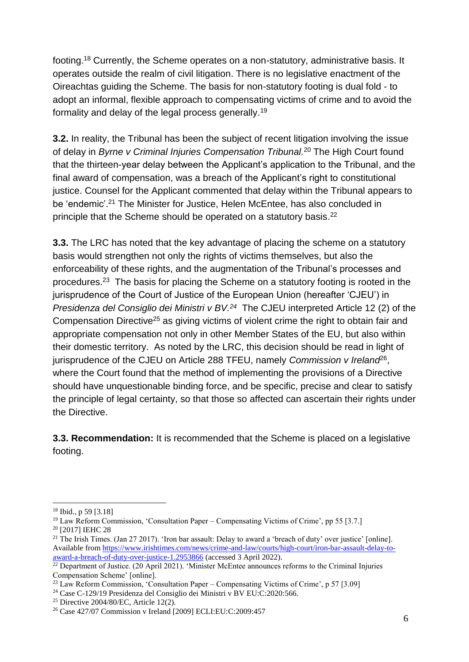footing. <sup>18</sup> Currently, the Scheme operates on a non-statutory, administrative basis. It operates outside the realm of civil litigation. There is no legislative enactment of the Oireachtas guiding the Scheme. The basis for non-statutory footing is dual fold - to adopt an informal, flexible approach to compensating victims of crime and to avoid the formality and delay of the legal process generally. 19

**3.2.** In reality, the Tribunal has been the subject of recent litigation involving the issue of delay in *Byrne v Criminal Injuries Compensation Tribunal.* <sup>20</sup> The High Court found that the thirteen-year delay between the Applicant's application to the Tribunal, and the final award of compensation, was a breach of the Applicant's right to constitutional justice. Counsel for the Applicant commented that delay within the Tribunal appears to be 'endemic'. <sup>21</sup> The Minister for Justice, Helen McEntee, has also concluded in principle that the Scheme should be operated on a statutory basis.<sup>22</sup>

**3.3.** The LRC has noted that the key advantage of placing the scheme on a statutory basis would strengthen not only the rights of victims themselves, but also the enforceability of these rights, and the augmentation of the Tribunal's processes and procedures.<sup>23</sup> The basis for placing the Scheme on a statutory footing is rooted in the jurisprudence of the Court of Justice of the European Union (hereafter 'CJEU') in *Presidenza del Consiglio dei Ministri v BV. <sup>24</sup>* The CJEU interpreted Article 12 (2) of the Compensation Directive<sup>25</sup> as giving victims of violent crime the right to obtain fair and appropriate compensation not only in other Member States of the EU, but also within their domestic territory. As noted by the LRC, this decision should be read in light of jurisprudence of the CJEU on Article 288 TFEU, namely *Commission v Ireland<sup>26</sup>*, where the Court found that the method of implementing the provisions of a Directive should have unquestionable binding force, and be specific, precise and clear to satisfy the principle of legal certainty, so that those so affected can ascertain their rights under the Directive.

**3.3. Recommendation:** It is recommended that the Scheme is placed on a legislative footing.

 $\overline{a}$ 

<sup>24</sup> Case C-129/19 Presidenza del Consiglio dei Ministri v BV EU:C:2020:566.

<sup>18</sup> Ibid., p 59 [3.18]

<sup>&</sup>lt;sup>19</sup> Law Reform Commission, 'Consultation Paper – Compensating Victims of Crime', pp 55 [3.7.]

<sup>&</sup>lt;sup>20</sup> [2017] IEHC 28

<sup>&</sup>lt;sup>21</sup> The Irish Times. (Jan 27 2017). 'Iron bar assault: Delay to award a 'breach of duty' over justice' [online]. Available from [https://www.irishtimes.com/news/crime-and-law/courts/high-court/iron-bar-assault-delay-to](https://www.irishtimes.com/news/crime-and-law/courts/high-court/iron-bar-assault-delay-to-award-a-breach-of-duty-over-justice-1.2953866)[award-a-breach-of-duty-over-justice-1.2953866](https://www.irishtimes.com/news/crime-and-law/courts/high-court/iron-bar-assault-delay-to-award-a-breach-of-duty-over-justice-1.2953866) (accessed 3 April 2022).

 $22$  Department of Justice. (20 April 2021). 'Minister McEntee announces reforms to the Criminal Injuries Compensation Scheme' [online].

<sup>&</sup>lt;sup>23</sup> Law Reform Commission, 'Consultation Paper – Compensating Victims of Crime', p 57 [3.09]

<sup>25</sup> Directive 2004/80/EC, Article 12(2).

<sup>26</sup> Case 427/07 Commission v Ireland [2009] ECLI:EU:C:2009:457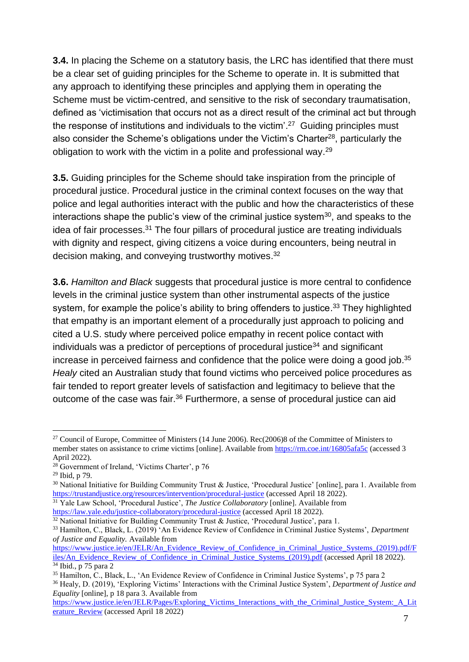**3.4.** In placing the Scheme on a statutory basis, the LRC has identified that there must be a clear set of guiding principles for the Scheme to operate in. It is submitted that any approach to identifying these principles and applying them in operating the Scheme must be victim-centred, and sensitive to the risk of secondary traumatisation, defined as 'victimisation that occurs not as a direct result of the criminal act but through the response of institutions and individuals to the victim'.<sup>27</sup> Guiding principles must also consider the Scheme's obligations under the Victim's Charter<sup>28</sup>, particularly the obligation to work with the victim in a polite and professional way.<sup>29</sup>

**3.5.** Guiding principles for the Scheme should take inspiration from the principle of procedural justice. Procedural justice in the criminal context focuses on the way that police and legal authorities interact with the public and how the characteristics of these interactions shape the public's view of the criminal justice system $30$ , and speaks to the idea of fair processes. <sup>31</sup> The four pillars of procedural justice are treating individuals with dignity and respect, giving citizens a voice during encounters, being neutral in decision making, and conveying trustworthy motives.<sup>32</sup>

**3.6.** *Hamilton and Black* suggests that procedural justice is more central to confidence levels in the criminal justice system than other instrumental aspects of the justice system, for example the police's ability to bring offenders to justice.<sup>33</sup> They highlighted that empathy is an important element of a procedurally just approach to policing and cited a U.S. study where perceived police empathy in recent police contact with individuals was a predictor of perceptions of procedural justice $34$  and significant increase in perceived fairness and confidence that the police were doing a good job. $35$ *Healy* cited an Australian study that found victims who perceived police procedures as fair tended to report greater levels of satisfaction and legitimacy to believe that the outcome of the case was fair.<sup>36</sup> Furthermore, a sense of procedural justice can aid

 $\overline{a}$ 

<sup>30</sup> National Initiative for Building Community Trust & Justice, 'Procedural Justice' [online], para 1. Available from <https://trustandjustice.org/resources/intervention/procedural-justice> (accessed April 18 2022).

 $32$  National Initiative for Building Community Trust & Justice, 'Procedural Justice', para 1.

<sup>&</sup>lt;sup>27</sup> Council of Europe, Committee of Ministers (14 June 2006). Rec(2006)8 of the Committee of Ministers to member states on assistance to crime victims [online]. Available from<https://rm.coe.int/16805afa5c> (accessed 3 April 2022).

 $28$  Government of Ireland, 'Victims Charter', p 76

<sup>29</sup> Ibid, p 79.

<sup>&</sup>lt;sup>31</sup> Yale Law School, 'Procedural Justice', *The Justice Collaboratory* [online]. Available from

<https://law.yale.edu/justice-collaboratory/procedural-justice> (accessed April 18 2022).

<sup>33</sup> Hamilton, C., Black, L. (2019) 'An Evidence Review of Confidence in Criminal Justice Systems', *Department of Justice and Equality.* Available from

[https://www.justice.ie/en/JELR/An\\_Evidence\\_Review\\_of\\_Confidence\\_in\\_Criminal\\_Justice\\_Systems\\_\(2019\).pdf/F](https://www.justice.ie/en/JELR/An_Evidence_Review_of_Confidence_in_Criminal_Justice_Systems_(2019).pdf/Files/An_Evidence_Review_of_Confidence_in_Criminal_Justice_Systems_(2019).pdf) [iles/An\\_Evidence\\_Review\\_of\\_Confidence\\_in\\_Criminal\\_Justice\\_Systems\\_\(2019\).pdf](https://www.justice.ie/en/JELR/An_Evidence_Review_of_Confidence_in_Criminal_Justice_Systems_(2019).pdf/Files/An_Evidence_Review_of_Confidence_in_Criminal_Justice_Systems_(2019).pdf) (accessed April 18 2022). <sup>34</sup> Ibid., p 75 para 2

<sup>35</sup> Hamilton, C., Black, L., 'An Evidence Review of Confidence in Criminal Justice Systems', p 75 para 2

<sup>36</sup> Healy, D. (2019), 'Exploring Victims' Interactions with the Criminal Justice System', *Department of Justice and Equality* [online], p 18 para 3. Available from

[https://www.justice.ie/en/JELR/Pages/Exploring\\_Victims\\_Interactions\\_with\\_the\\_Criminal\\_Justice\\_System:\\_A\\_Lit](https://www.justice.ie/en/JELR/Pages/Exploring_Victims_Interactions_with_the_Criminal_Justice_System:_A_Literature_Review) [erature\\_Review](https://www.justice.ie/en/JELR/Pages/Exploring_Victims_Interactions_with_the_Criminal_Justice_System:_A_Literature_Review) (accessed April 18 2022)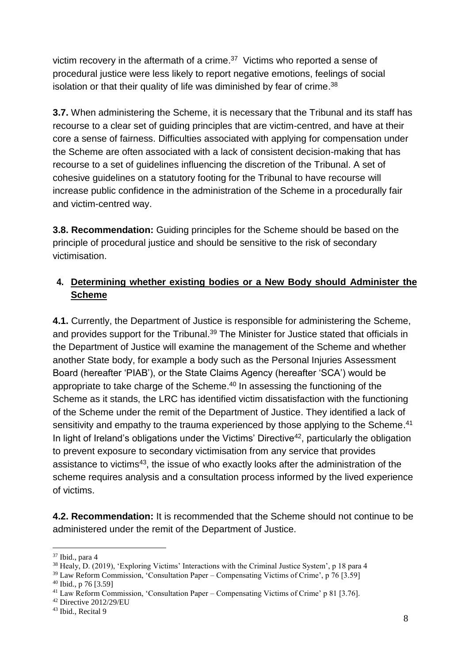victim recovery in the aftermath of a crime. <sup>37</sup> Victims who reported a sense of procedural justice were less likely to report negative emotions, feelings of social isolation or that their quality of life was diminished by fear of crime.<sup>38</sup>

**3.7.** When administering the Scheme, it is necessary that the Tribunal and its staff has recourse to a clear set of guiding principles that are victim-centred, and have at their core a sense of fairness. Difficulties associated with applying for compensation under the Scheme are often associated with a lack of consistent decision-making that has recourse to a set of guidelines influencing the discretion of the Tribunal. A set of cohesive guidelines on a statutory footing for the Tribunal to have recourse will increase public confidence in the administration of the Scheme in a procedurally fair and victim-centred way.

**3.8. Recommendation:** Guiding principles for the Scheme should be based on the principle of procedural justice and should be sensitive to the risk of secondary victimisation.

### **4. Determining whether existing bodies or a New Body should Administer the Scheme**

**4.1.** Currently, the Department of Justice is responsible for administering the Scheme, and provides support for the Tribunal.<sup>39</sup> The Minister for Justice stated that officials in the Department of Justice will examine the management of the Scheme and whether another State body, for example a body such as the Personal Injuries Assessment Board (hereafter 'PIAB'), or the State Claims Agency (hereafter 'SCA') would be appropriate to take charge of the Scheme. <sup>40</sup> In assessing the functioning of the Scheme as it stands, the LRC has identified victim dissatisfaction with the functioning of the Scheme under the remit of the Department of Justice. They identified a lack of sensitivity and empathy to the trauma experienced by those applying to the Scheme.<sup>41</sup> In light of Ireland's obligations under the Victims' Directive<sup>42</sup>, particularly the obligation to prevent exposure to secondary victimisation from any service that provides assistance to victims<sup>43</sup>, the issue of who exactly looks after the administration of the scheme requires analysis and a consultation process informed by the lived experience of victims.

**4.2. Recommendation:** It is recommended that the Scheme should not continue to be administered under the remit of the Department of Justice.

<sup>37</sup> Ibid., para 4

<sup>38</sup> Healy, D. (2019), 'Exploring Victims' Interactions with the Criminal Justice System', p 18 para 4

<sup>39</sup> Law Reform Commission, 'Consultation Paper – Compensating Victims of Crime', p 76 [3.59]

<sup>40</sup> Ibid., p 76 [3.59]

<sup>41</sup> Law Reform Commission, 'Consultation Paper – Compensating Victims of Crime' p 81 [3.76].

<sup>42</sup> Directive 2012/29/EU

<sup>43</sup> Ibid., Recital 9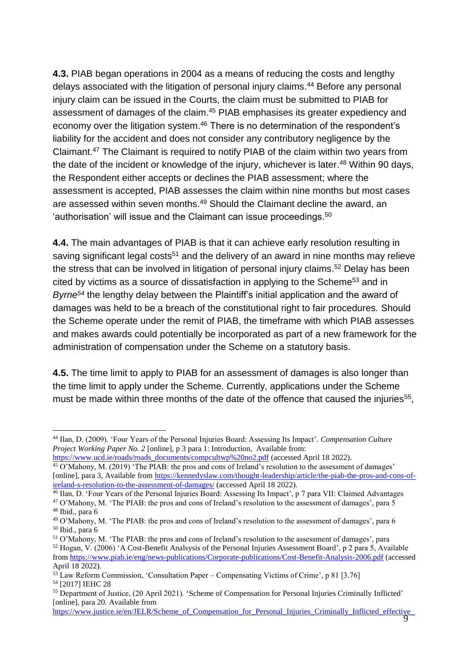**4.3.** PIAB began operations in 2004 as a means of reducing the costs and lengthy delays associated with the litigation of personal injury claims. <sup>44</sup> Before any personal injury claim can be issued in the Courts, the claim must be submitted to PIAB for assessment of damages of the claim. <sup>45</sup> PIAB emphasises its greater expediency and economy over the litigation system.<sup>46</sup> There is no determination of the respondent's liability for the accident and does not consider any contributory negligence by the Claimant. <sup>47</sup> The Claimant is required to notify PIAB of the claim within two years from the date of the incident or knowledge of the injury, whichever is later. <sup>48</sup> Within 90 days, the Respondent either accepts or declines the PIAB assessment; where the assessment is accepted, PIAB assesses the claim within nine months but most cases are assessed within seven months. <sup>49</sup> Should the Claimant decline the award, an ʻauthorisation' will issue and the Claimant can issue proceedings. $^{\rm 50}$ 

**4.4.** The main advantages of PIAB is that it can achieve early resolution resulting in saving significant legal costs<sup>51</sup> and the delivery of an award in nine months may relieve the stress that can be involved in litigation of personal injury claims. <sup>52</sup> Delay has been cited by victims as a source of dissatisfaction in applying to the Scheme<sup>53</sup> and in *Byrne<sup>54</sup>* the lengthy delay between the Plaintiff's initial application and the award of damages was held to be a breach of the constitutional right to fair procedures. Should the Scheme operate under the remit of PIAB, the timeframe with which PIAB assesses and makes awards could potentially be incorporated as part of a new framework for the administration of compensation under the Scheme on a statutory basis.

**4.5.** The time limit to apply to PIAB for an assessment of damages is also longer than the time limit to apply under the Scheme. Currently, applications under the Scheme must be made within three months of the date of the offence that caused the injuries<sup>55</sup>,

<sup>44</sup> Ilan, D. (2009). 'Four Years of the Personal Injuries Board: Assessing Its Impact'. *Compensation Culture Project Working Paper No. 2* [online], p 3 para 1: Introduction, Available from:

[https://www.ucd.ie/roads/roads\\_documents/compcultwp%20no2.pdf](https://www.ucd.ie/roads/roads_documents/compcultwp%20no2.pdf) (accessed April 18 2022). <sup>45</sup> O'Mahony, M. (2019) 'The PIAB: the pros and cons of Ireland's resolution to the assessment of damages' [online], para 3, Available from [https://kennedyslaw.com/thought-leadership/article/the-piab-the-pros-and-cons-of](https://kennedyslaw.com/thought-leadership/article/the-piab-the-pros-and-cons-of-ireland-s-resolution-to-the-assessment-of-damages/)[ireland-s-resolution-to-the-assessment-of-damages/](https://kennedyslaw.com/thought-leadership/article/the-piab-the-pros-and-cons-of-ireland-s-resolution-to-the-assessment-of-damages/) (accessed April 18 2022).

<sup>46</sup> Ilan, D. 'Four Years of the Personal Injuries Board: Assessing Its Impact', p 7 para VII: Claimed Advantages <sup>47</sup> O'Mahony, M. 'The PIAB: the pros and cons of Ireland's resolution to the assessment of damages', para 5

<sup>48</sup> Ibid., para 6

 $49$  O'Mahony, M. 'The PIAB: the pros and cons of Ireland's resolution to the assessment of damages', para 6 <sup>50</sup> Ibid., para 6

<sup>51</sup> O'Mahony, M. 'The PIAB: the pros and cons of Ireland's resolution to the assessment of damages', para <sup>52</sup> Hogan, V. (2006) 'A Cost-Benefit Analsysis of the Personal Injuries Assessment Board', p 2 para 5, Available from<https://www.piab.ie/eng/news-publications/Corporate-publications/Cost-Benefit-Analysis-2006.pdf> (accessed April 18 2022).

 $53$  Law Reform Commission, 'Consultation Paper – Compensating Victims of Crime', p 81 [3.76] <sup>54</sup> [2017] IEHC 28

<sup>55</sup> Department of Justice, (20 April 2021). 'Scheme of Compensation for Personal Injuries Criminally Inflicted' [online], para 20. Available from

[https://www.justice.ie/en/JELR/Scheme\\_of\\_Compensation\\_for\\_Personal\\_Injuries\\_Criminally\\_Inflicted\\_effective\\_](https://www.justice.ie/en/JELR/Scheme_of_Compensation_for_Personal_Injuries_Criminally_Inflicted_effective_from_20_April_2021.pdf/Files/Scheme_of_Compensation_for_Personal_Injuries_Criminally_Inflicted_effective_from_20_April_2021.pdf)9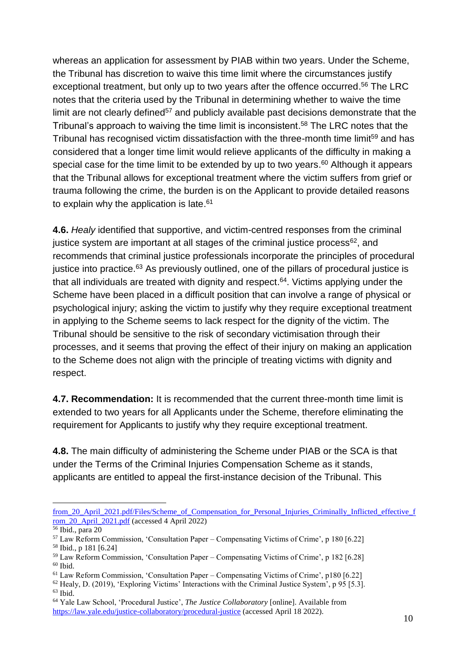whereas an application for assessment by PIAB within two years. Under the Scheme, the Tribunal has discretion to waive this time limit where the circumstances justify exceptional treatment, but only up to two years after the offence occurred. <sup>56</sup> The LRC notes that the criteria used by the Tribunal in determining whether to waive the time limit are not clearly defined<sup>57</sup> and publicly available past decisions demonstrate that the Tribunal's approach to waiving the time limit is inconsistent. <sup>58</sup> The LRC notes that the Tribunal has recognised victim dissatisfaction with the three-month time limit<sup>59</sup> and has considered that a longer time limit would relieve applicants of the difficulty in making a special case for the time limit to be extended by up to two years. <sup>60</sup> Although it appears that the Tribunal allows for exceptional treatment where the victim suffers from grief or trauma following the crime, the burden is on the Applicant to provide detailed reasons to explain why the application is late.<sup>61</sup>

**4.6.** *Healy* identified that supportive, and victim-centred responses from the criminal justice system are important at all stages of the criminal justice process<sup>62</sup>, and recommends that criminal justice professionals incorporate the principles of procedural justice into practice.<sup>63</sup> As previously outlined, one of the pillars of procedural justice is that all individuals are treated with dignity and respect. <sup>64</sup>. Victims applying under the Scheme have been placed in a difficult position that can involve a range of physical or psychological injury; asking the victim to justify why they require exceptional treatment in applying to the Scheme seems to lack respect for the dignity of the victim. The Tribunal should be sensitive to the risk of secondary victimisation through their processes, and it seems that proving the effect of their injury on making an application to the Scheme does not align with the principle of treating victims with dignity and respect.

**4.7. Recommendation:** It is recommended that the current three-month time limit is extended to two years for all Applicants under the Scheme, therefore eliminating the requirement for Applicants to justify why they require exceptional treatment.

**4.8.** The main difficulty of administering the Scheme under PIAB or the SCA is that under the Terms of the Criminal Injuries Compensation Scheme as it stands, applicants are entitled to appeal the first-instance decision of the Tribunal. This

from 20\_April\_2021.pdf/Files/Scheme\_of\_Compensation\_for\_Personal\_Injuries\_Criminally\_Inflicted\_effective\_f [rom\\_20\\_April\\_2021.pdf](https://www.justice.ie/en/JELR/Scheme_of_Compensation_for_Personal_Injuries_Criminally_Inflicted_effective_from_20_April_2021.pdf/Files/Scheme_of_Compensation_for_Personal_Injuries_Criminally_Inflicted_effective_from_20_April_2021.pdf) (accessed 4 April 2022)

<sup>56</sup> Ibid., para 20

<sup>57</sup> Law Reform Commission, 'Consultation Paper – Compensating Victims of Crime', p 180 [6.22] <sup>58</sup> Ibid., p 181 [6.24]

<sup>59</sup> Law Reform Commission, 'Consultation Paper – Compensating Victims of Crime', p 182 [6.28]  $60$  Ibid.

 $61$  Law Reform Commission, 'Consultation Paper – Compensating Victims of Crime', p180 [6.22]

<sup>62</sup> Healy, D. (2019), 'Exploring Victims' Interactions with the Criminal Justice System', p 95 [5.3].  $^{63}$  Ibid.

<sup>64</sup> Yale Law School, 'Procedural Justice', *The Justice Collaboratory* [online]. Available from <https://law.yale.edu/justice-collaboratory/procedural-justice> (accessed April 18 2022).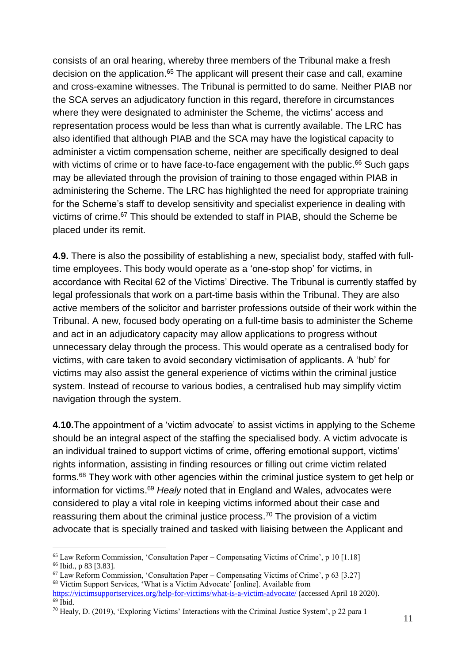consists of an oral hearing, whereby three members of the Tribunal make a fresh decision on the application.<sup>65</sup> The applicant will present their case and call, examine and cross-examine witnesses. The Tribunal is permitted to do same. Neither PIAB nor the SCA serves an adjudicatory function in this regard, therefore in circumstances where they were designated to administer the Scheme, the victims' access and representation process would be less than what is currently available. The LRC has also identified that although PIAB and the SCA may have the logistical capacity to administer a victim compensation scheme, neither are specifically designed to deal with victims of crime or to have face-to-face engagement with the public. <sup>66</sup> Such gaps may be alleviated through the provision of training to those engaged within PIAB in administering the Scheme. The LRC has highlighted the need for appropriate training for the Scheme's staff to develop sensitivity and specialist experience in dealing with victims of crime. <sup>67</sup> This should be extended to staff in PIAB, should the Scheme be placed under its remit.

**4.9.** There is also the possibility of establishing a new, specialist body, staffed with fulltime employees. This body would operate as a 'one-stop shop' for victims, in accordance with Recital 62 of the Victims' Directive. The Tribunal is currently staffed by legal professionals that work on a part-time basis within the Tribunal. They are also active members of the solicitor and barrister professions outside of their work within the Tribunal. A new, focused body operating on a full-time basis to administer the Scheme and act in an adjudicatory capacity may allow applications to progress without unnecessary delay through the process. This would operate as a centralised body for victims, with care taken to avoid secondary victimisation of applicants. A 'hub' for victims may also assist the general experience of victims within the criminal justice system. Instead of recourse to various bodies, a centralised hub may simplify victim navigation through the system.

**4.10.**The appointment of a 'victim advocate' to assist victims in applying to the Scheme should be an integral aspect of the staffing the specialised body. A victim advocate is an individual trained to support victims of crime, offering emotional support, victims' rights information, assisting in finding resources or filling out crime victim related forms. <sup>68</sup> They work with other agencies within the criminal justice system to get help or information for victims. <sup>69</sup> *Healy* noted that in England and Wales, advocates were considered to play a vital role in keeping victims informed about their case and reassuring them about the criminal justice process.<sup>70</sup> The provision of a victim advocate that is specially trained and tasked with liaising between the Applicant and

<sup>65</sup> Law Reform Commission, 'Consultation Paper – Compensating Victims of Crime', p 10 [1.18] <sup>66</sup> Ibid., p 83 [3.83].

 $67$  Law Reform Commission, 'Consultation Paper – Compensating Victims of Crime', p 63 [3.27] <sup>68</sup> Victim Support Services, 'What is a Victim Advocate' [online]. Available from

<https://victimsupportservices.org/help-for-victims/what-is-a-victim-advocate/> (accessed April 18 2020). <sup>69</sup> Ibid.

 $70$  Healy, D. (2019), 'Exploring Victims' Interactions with the Criminal Justice System', p 22 para 1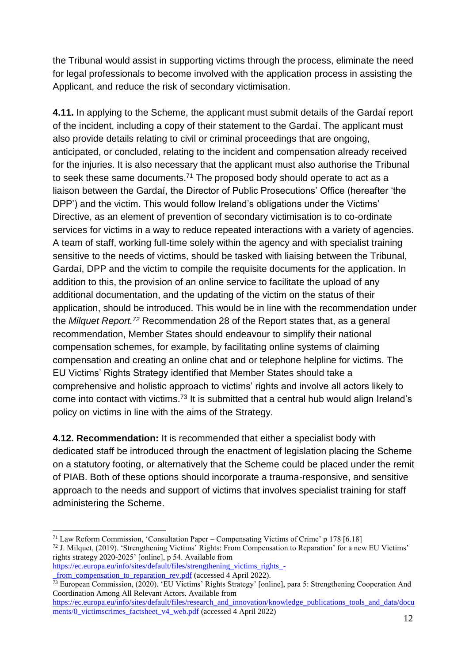the Tribunal would assist in supporting victims through the process, eliminate the need for legal professionals to become involved with the application process in assisting the Applicant, and reduce the risk of secondary victimisation.

**4.11.** In applying to the Scheme, the applicant must submit details of the Gardaí report of the incident, including a copy of their statement to the Gardaí. The applicant must also provide details relating to civil or criminal proceedings that are ongoing, anticipated, or concluded, relating to the incident and compensation already received for the injuries. It is also necessary that the applicant must also authorise the Tribunal to seek these same documents. <sup>71</sup> The proposed body should operate to act as a liaison between the Gardaí, the Director of Public Prosecutions' Office (hereafter 'the DPP') and the victim. This would follow Ireland's obligations under the Victims' Directive, as an element of prevention of secondary victimisation is to co-ordinate services for victims in a way to reduce repeated interactions with a variety of agencies. A team of staff, working full-time solely within the agency and with specialist training sensitive to the needs of victims, should be tasked with liaising between the Tribunal, Gardaí, DPP and the victim to compile the requisite documents for the application. In addition to this, the provision of an online service to facilitate the upload of any additional documentation, and the updating of the victim on the status of their application, should be introduced. This would be in line with the recommendation under the *Milquet Report. <sup>72</sup>* Recommendation 28 of the Report states that, as a general recommendation, Member States should endeavour to simplify their national compensation schemes, for example, by facilitating online systems of claiming compensation and creating an online chat and or telephone helpline for victims. The EU Victims' Rights Strategy identified that Member States should take a comprehensive and holistic approach to victims' rights and involve all actors likely to come into contact with victims. <sup>73</sup> It is submitted that a central hub would align Ireland's policy on victims in line with the aims of the Strategy.

**4.12. Recommendation:** It is recommended that either a specialist body with dedicated staff be introduced through the enactment of legislation placing the Scheme on a statutory footing, or alternatively that the Scheme could be placed under the remit of PIAB. Both of these options should incorporate a trauma-responsive, and sensitive approach to the needs and support of victims that involves specialist training for staff administering the Scheme.

<sup>&</sup>lt;sup>71</sup> Law Reform Commission, 'Consultation Paper – Compensating Victims of Crime' p 178 [6.18]

<sup>72</sup> J. Milquet, (2019). 'Strengthening Victims' Rights: From Compensation to Reparation' for a new EU Victims' rights strategy 2020-2025' [online], p 54. Available from

[https://ec.europa.eu/info/sites/default/files/strengthening\\_victims\\_rights\\_-](https://ec.europa.eu/info/sites/default/files/strengthening_victims_rights_-_from_compensation_to_reparation_rev.pdf) [\\_from\\_compensation\\_to\\_reparation\\_rev.pdf](https://ec.europa.eu/info/sites/default/files/strengthening_victims_rights_-_from_compensation_to_reparation_rev.pdf) (accessed 4 April 2022).

<sup>&</sup>lt;sup>73</sup> European Commission, (2020). 'EU Victims' Rights Strategy' [online], para 5: Strengthening Cooperation And Coordination Among All Relevant Actors. Available from

[https://ec.europa.eu/info/sites/default/files/research\\_and\\_innovation/knowledge\\_publications\\_tools\\_and\\_data/docu](https://ec.europa.eu/info/sites/default/files/research_and_innovation/knowledge_publications_tools_and_data/documents/0_victimscrimes_factsheet_v4_web.pdf) [ments/0\\_victimscrimes\\_factsheet\\_v4\\_web.pdf](https://ec.europa.eu/info/sites/default/files/research_and_innovation/knowledge_publications_tools_and_data/documents/0_victimscrimes_factsheet_v4_web.pdf) (accessed 4 April 2022)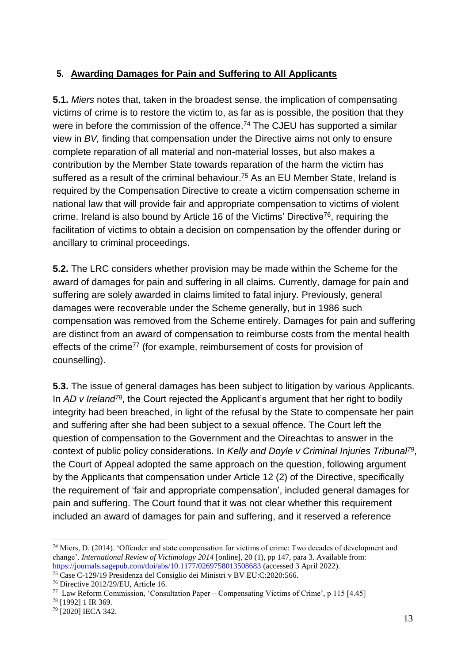#### **5. Awarding Damages for Pain and Suffering to All Applicants**

**5.1.** *Miers* notes that, taken in the broadest sense, the implication of compensating victims of crime is to restore the victim to, as far as is possible, the position that they were in before the commission of the offence.<sup>74</sup> The CJEU has supported a similar view in *BV,* finding that compensation under the Directive aims not only to ensure complete reparation of all material and non-material losses, but also makes a contribution by the Member State towards reparation of the harm the victim has suffered as a result of the criminal behaviour. <sup>75</sup> As an EU Member State, Ireland is required by the Compensation Directive to create a victim compensation scheme in national law that will provide fair and appropriate compensation to victims of violent crime. Ireland is also bound by Article 16 of the Victims' Directive<sup>76</sup>, requiring the facilitation of victims to obtain a decision on compensation by the offender during or ancillary to criminal proceedings.

**5.2.** The LRC considers whether provision may be made within the Scheme for the award of damages for pain and suffering in all claims. Currently, damage for pain and suffering are solely awarded in claims limited to fatal injury. Previously, general damages were recoverable under the Scheme generally, but in 1986 such compensation was removed from the Scheme entirely. Damages for pain and suffering are distinct from an award of compensation to reimburse costs from the mental health effects of the crime<sup>77</sup> (for example, reimbursement of costs for provision of counselling).

**5.3.** The issue of general damages has been subject to litigation by various Applicants. In *AD v Ireland<sup>78</sup>*, the Court rejected the Applicant's argument that her right to bodily integrity had been breached, in light of the refusal by the State to compensate her pain and suffering after she had been subject to a sexual offence. The Court left the question of compensation to the Government and the Oireachtas to answer in the context of public policy considerations. In *Kelly and Doyle v Criminal Injuries Tribunal<sup>79</sup>* , the Court of Appeal adopted the same approach on the question, following argument by the Applicants that compensation under Article 12 (2) of the Directive, specifically the requirement of 'fair and appropriate compensation', included general damages for pain and suffering. The Court found that it was not clear whether this requirement included an award of damages for pain and suffering, and it reserved a reference

```
78 [1992] 1 IR 369.
```
<sup>74</sup> Miers, D. (2014). 'Offender and state compensation for victims of crime: Two decades of development and change'. *International Review of Victimology 2014* [online], 20 (1), pp 147, para 3. Available from: <https://journals.sagepub.com/doi/abs/10.1177/0269758013508683> (accessed 3 April 2022).

<sup>75</sup> Case C-129/19 Presidenza del Consiglio dei Ministri v BV EU:C:2020:566.

<sup>76</sup> Directive 2012/29/EU, Article 16.

 $77$  Law Reform Commission, 'Consultation Paper – Compensating Victims of Crime', p 115 [4.45]

<sup>79</sup> [2020] IECA 342.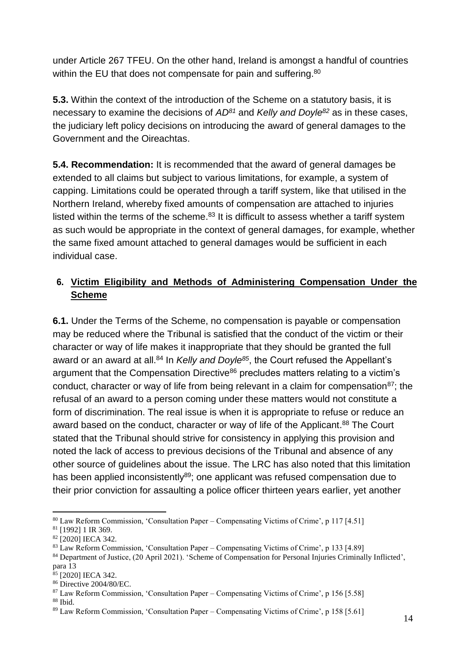under Article 267 TFEU. On the other hand, Ireland is amongst a handful of countries within the EU that does not compensate for pain and suffering.<sup>80</sup>

**5.3.** Within the context of the introduction of the Scheme on a statutory basis, it is necessary to examine the decisions of *AD<sup>81</sup>* and *Kelly and Doyle<sup>82</sup>* as in these cases, the judiciary left policy decisions on introducing the award of general damages to the Government and the Oireachtas.

**5.4. Recommendation:** It is recommended that the award of general damages be extended to all claims but subject to various limitations, for example, a system of capping. Limitations could be operated through a tariff system, like that utilised in the Northern Ireland, whereby fixed amounts of compensation are attached to injuries listed within the terms of the scheme.<sup>83</sup> It is difficult to assess whether a tariff system as such would be appropriate in the context of general damages, for example, whether the same fixed amount attached to general damages would be sufficient in each individual case.

### **6. Victim Eligibility and Methods of Administering Compensation Under the Scheme**

**6.1.** Under the Terms of the Scheme, no compensation is payable or compensation may be reduced where the Tribunal is satisfied that the conduct of the victim or their character or way of life makes it inappropriate that they should be granted the full award or an award at all. <sup>84</sup> In *Kelly and Doyle<sup>85</sup>*, the Court refused the Appellant's argument that the Compensation Directive<sup>86</sup> precludes matters relating to a victim's conduct, character or way of life from being relevant in a claim for compensation $87$ ; the refusal of an award to a person coming under these matters would not constitute a form of discrimination. The real issue is when it is appropriate to refuse or reduce an award based on the conduct, character or way of life of the Applicant.<sup>88</sup> The Court stated that the Tribunal should strive for consistency in applying this provision and noted the lack of access to previous decisions of the Tribunal and absence of any other source of guidelines about the issue. The LRC has also noted that this limitation has been applied inconsistently<sup>89</sup>; one applicant was refused compensation due to their prior conviction for assaulting a police officer thirteen years earlier, yet another

 $\overline{a}$ <sup>80</sup> Law Reform Commission, 'Consultation Paper – Compensating Victims of Crime', p 117 [4.51]

<sup>81</sup> [1992] 1 IR 369.

<sup>82</sup> [2020] IECA 342.

<sup>83</sup> Law Reform Commission, 'Consultation Paper – Compensating Victims of Crime', p 133 [4.89]

<sup>84</sup> Department of Justice, (20 April 2021). 'Scheme of Compensation for Personal Injuries Criminally Inflicted', para 13

<sup>85</sup> [2020] IECA 342.

<sup>86</sup> Directive 2004/80/EC.

<sup>87</sup> Law Reform Commission, 'Consultation Paper – Compensating Victims of Crime', p 156 [5.58]

<sup>88</sup> Ibid.

<sup>89</sup> Law Reform Commission, 'Consultation Paper – Compensating Victims of Crime', p 158 [5.61]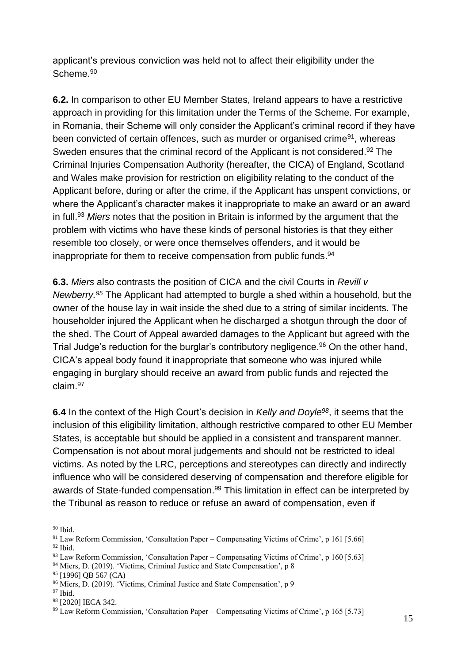applicant's previous conviction was held not to affect their eligibility under the Scheme. 90

**6.2.** In comparison to other EU Member States, Ireland appears to have a restrictive approach in providing for this limitation under the Terms of the Scheme. For example, in Romania, their Scheme will only consider the Applicant's criminal record if they have been convicted of certain offences, such as murder or organised crime<sup>91</sup>, whereas Sweden ensures that the criminal record of the Applicant is not considered.<sup>92</sup> The Criminal Injuries Compensation Authority (hereafter, the CICA) of England, Scotland and Wales make provision for restriction on eligibility relating to the conduct of the Applicant before, during or after the crime, if the Applicant has unspent convictions, or where the Applicant's character makes it inappropriate to make an award or an award in full. <sup>93</sup> *Miers* notes that the position in Britain is informed by the argument that the problem with victims who have these kinds of personal histories is that they either resemble too closely, or were once themselves offenders, and it would be inappropriate for them to receive compensation from public funds. 94

**6.3.** *Miers* also contrasts the position of CICA and the civil Courts in *Revill v Newberry. <sup>95</sup>* The Applicant had attempted to burgle a shed within a household, but the owner of the house lay in wait inside the shed due to a string of similar incidents. The householder injured the Applicant when he discharged a shotgun through the door of the shed. The Court of Appeal awarded damages to the Applicant but agreed with the Trial Judge's reduction for the burglar's contributory negligence.<sup>96</sup> On the other hand, CICA's appeal body found it inappropriate that someone who was injured while engaging in burglary should receive an award from public funds and rejected the claim. 97

**6.4** In the context of the High Court's decision in *Kelly and Doyle<sup>98</sup>*, it seems that the inclusion of this eligibility limitation, although restrictive compared to other EU Member States, is acceptable but should be applied in a consistent and transparent manner. Compensation is not about moral judgements and should not be restricted to ideal victims. As noted by the LRC, perceptions and stereotypes can directly and indirectly influence who will be considered deserving of compensation and therefore eligible for awards of State-funded compensation.<sup>99</sup> This limitation in effect can be interpreted by the Tribunal as reason to reduce or refuse an award of compensation, even if

<sup>90</sup> Ibid.

<sup>&</sup>lt;sup>91</sup> Law Reform Commission, 'Consultation Paper – Compensating Victims of Crime', p 161 [5.66]  $92$  Ibid.

<sup>93</sup> Law Reform Commission, 'Consultation Paper – Compensating Victims of Crime', p 160 [5.63]

<sup>94</sup> Miers, D. (2019). 'Victims, Criminal Justice and State Compensation', p 8

<sup>95</sup> [1996] QB 567 (CA)

<sup>96</sup> Miers, D. (2019). 'Victims, Criminal Justice and State Compensation', p 9

<sup>97</sup> Ibid.

<sup>98</sup> [2020] IECA 342.

<sup>99</sup> Law Reform Commission, 'Consultation Paper – Compensating Victims of Crime', p 165 [5.73]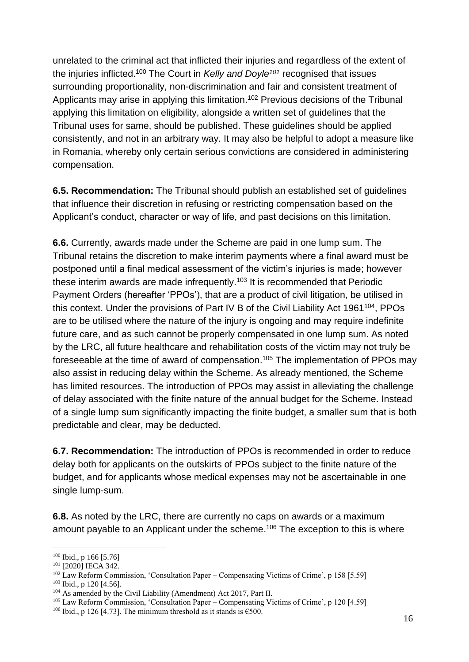unrelated to the criminal act that inflicted their injuries and regardless of the extent of the injuries inflicted. <sup>100</sup> The Court in *Kelly and Doyle<sup>101</sup>* recognised that issues surrounding proportionality, non-discrimination and fair and consistent treatment of Applicants may arise in applying this limitation. <sup>102</sup> Previous decisions of the Tribunal applying this limitation on eligibility, alongside a written set of guidelines that the Tribunal uses for same, should be published. These guidelines should be applied consistently, and not in an arbitrary way. It may also be helpful to adopt a measure like in Romania, whereby only certain serious convictions are considered in administering compensation.

**6.5. Recommendation:** The Tribunal should publish an established set of guidelines that influence their discretion in refusing or restricting compensation based on the Applicant's conduct, character or way of life, and past decisions on this limitation.

**6.6.** Currently, awards made under the Scheme are paid in one lump sum. The Tribunal retains the discretion to make interim payments where a final award must be postponed until a final medical assessment of the victim's injuries is made; however these interim awards are made infrequently.<sup>103</sup> It is recommended that Periodic Payment Orders (hereafter 'PPOs'), that are a product of civil litigation, be utilised in this context. Under the provisions of Part IV B of the Civil Liability Act 1961<sup>104</sup>, PPOs are to be utilised where the nature of the injury is ongoing and may require indefinite future care, and as such cannot be properly compensated in one lump sum. As noted by the LRC, all future healthcare and rehabilitation costs of the victim may not truly be foreseeable at the time of award of compensation.<sup>105</sup> The implementation of PPOs may also assist in reducing delay within the Scheme. As already mentioned, the Scheme has limited resources. The introduction of PPOs may assist in alleviating the challenge of delay associated with the finite nature of the annual budget for the Scheme. Instead of a single lump sum significantly impacting the finite budget, a smaller sum that is both predictable and clear, may be deducted.

**6.7. Recommendation:** The introduction of PPOs is recommended in order to reduce delay both for applicants on the outskirts of PPOs subject to the finite nature of the budget, and for applicants whose medical expenses may not be ascertainable in one single lump-sum.

**6.8.** As noted by the LRC, there are currently no caps on awards or a maximum amount payable to an Applicant under the scheme. <sup>106</sup> The exception to this is where

<sup>100</sup> Ibid., p 166 [5.76]

<sup>101</sup> [2020] IECA 342.

<sup>102</sup> Law Reform Commission, 'Consultation Paper – Compensating Victims of Crime', p 158 [5.59]

<sup>103</sup> Ibid., p 120 [4.56].

<sup>&</sup>lt;sup>104</sup> As amended by the Civil Liability (Amendment) Act 2017, Part II.

<sup>105</sup> Law Reform Commission, 'Consultation Paper – Compensating Victims of Crime', p 120 [4.59]

<sup>&</sup>lt;sup>106</sup> Ibid., p 126 [4.73]. The minimum threshold as it stands is  $\epsilon$ 500.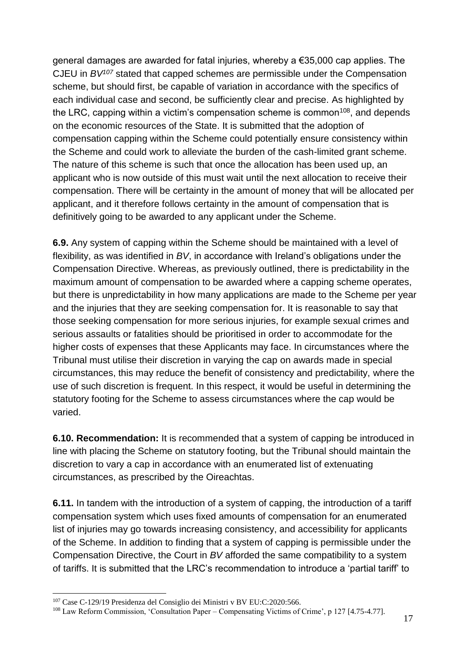general damages are awarded for fatal injuries, whereby a €35,000 cap applies. The CJEU in *BV<sup>107</sup>* stated that capped schemes are permissible under the Compensation scheme, but should first, be capable of variation in accordance with the specifics of each individual case and second, be sufficiently clear and precise. As highlighted by the LRC, capping within a victim's compensation scheme is common $^{108}$ , and depends on the economic resources of the State. It is submitted that the adoption of compensation capping within the Scheme could potentially ensure consistency within the Scheme and could work to alleviate the burden of the cash-limited grant scheme. The nature of this scheme is such that once the allocation has been used up, an applicant who is now outside of this must wait until the next allocation to receive their compensation. There will be certainty in the amount of money that will be allocated per applicant, and it therefore follows certainty in the amount of compensation that is definitively going to be awarded to any applicant under the Scheme.

**6.9.** Any system of capping within the Scheme should be maintained with a level of flexibility, as was identified in *BV*, in accordance with Ireland's obligations under the Compensation Directive. Whereas, as previously outlined, there is predictability in the maximum amount of compensation to be awarded where a capping scheme operates, but there is unpredictability in how many applications are made to the Scheme per year and the injuries that they are seeking compensation for. It is reasonable to say that those seeking compensation for more serious injuries, for example sexual crimes and serious assaults or fatalities should be prioritised in order to accommodate for the higher costs of expenses that these Applicants may face. In circumstances where the Tribunal must utilise their discretion in varying the cap on awards made in special circumstances, this may reduce the benefit of consistency and predictability, where the use of such discretion is frequent. In this respect, it would be useful in determining the statutory footing for the Scheme to assess circumstances where the cap would be varied.

**6.10. Recommendation:** It is recommended that a system of capping be introduced in line with placing the Scheme on statutory footing, but the Tribunal should maintain the discretion to vary a cap in accordance with an enumerated list of extenuating circumstances, as prescribed by the Oireachtas.

**6.11.** In tandem with the introduction of a system of capping, the introduction of a tariff compensation system which uses fixed amounts of compensation for an enumerated list of injuries may go towards increasing consistency, and accessibility for applicants of the Scheme. In addition to finding that a system of capping is permissible under the Compensation Directive, the Court in *BV* afforded the same compatibility to a system of tariffs. It is submitted that the LRC's recommendation to introduce a 'partial tariff' to

<sup>107</sup> Case C-129/19 Presidenza del Consiglio dei Ministri v BV EU:C:2020:566.

<sup>108</sup> Law Reform Commission, 'Consultation Paper – Compensating Victims of Crime', p 127 [4.75-4.77].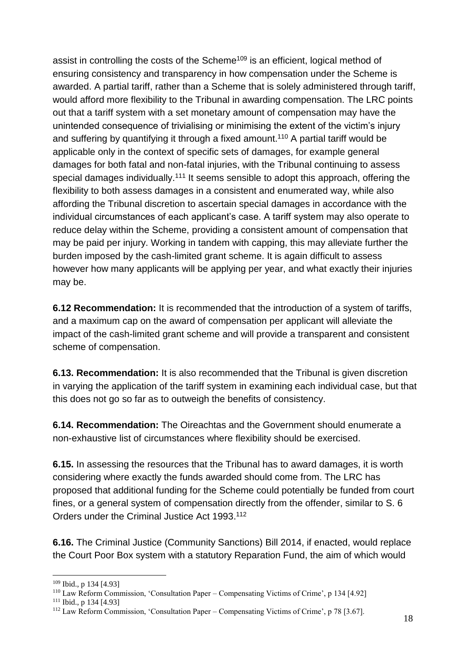assist in controlling the costs of the Scheme<sup>109</sup> is an efficient, logical method of ensuring consistency and transparency in how compensation under the Scheme is awarded. A partial tariff, rather than a Scheme that is solely administered through tariff, would afford more flexibility to the Tribunal in awarding compensation. The LRC points out that a tariff system with a set monetary amount of compensation may have the unintended consequence of trivialising or minimising the extent of the victim's injury and suffering by quantifying it through a fixed amount.<sup>110</sup> A partial tariff would be applicable only in the context of specific sets of damages, for example general damages for both fatal and non-fatal injuries, with the Tribunal continuing to assess special damages individually.<sup>111</sup> It seems sensible to adopt this approach, offering the flexibility to both assess damages in a consistent and enumerated way, while also affording the Tribunal discretion to ascertain special damages in accordance with the individual circumstances of each applicant's case. A tariff system may also operate to reduce delay within the Scheme, providing a consistent amount of compensation that may be paid per injury. Working in tandem with capping, this may alleviate further the burden imposed by the cash-limited grant scheme. It is again difficult to assess however how many applicants will be applying per year, and what exactly their injuries may be.

**6.12 Recommendation:** It is recommended that the introduction of a system of tariffs, and a maximum cap on the award of compensation per applicant will alleviate the impact of the cash-limited grant scheme and will provide a transparent and consistent scheme of compensation.

**6.13. Recommendation:** It is also recommended that the Tribunal is given discretion in varying the application of the tariff system in examining each individual case, but that this does not go so far as to outweigh the benefits of consistency.

**6.14. Recommendation:** The Oireachtas and the Government should enumerate a non-exhaustive list of circumstances where flexibility should be exercised.

**6.15.** In assessing the resources that the Tribunal has to award damages, it is worth considering where exactly the funds awarded should come from. The LRC has proposed that additional funding for the Scheme could potentially be funded from court fines, or a general system of compensation directly from the offender, similar to S. 6 Orders under the Criminal Justice Act 1993. 112

**6.16.** The Criminal Justice (Community Sanctions) Bill 2014, if enacted, would replace the Court Poor Box system with a statutory Reparation Fund, the aim of which would

<sup>109</sup> Ibid., p 134 [4.93]

<sup>110</sup> Law Reform Commission, 'Consultation Paper – Compensating Victims of Crime', p 134 [4.92]

<sup>111</sup> Ibid., p 134 [4.93]

<sup>112</sup> Law Reform Commission, 'Consultation Paper – Compensating Victims of Crime', p 78 [3.67].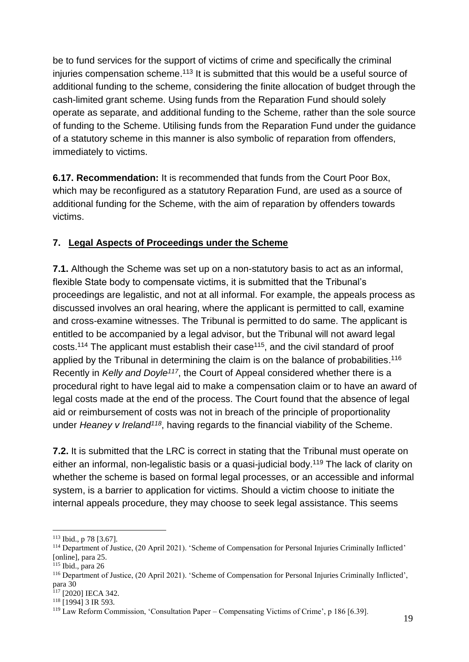be to fund services for the support of victims of crime and specifically the criminal injuries compensation scheme.<sup>113</sup> It is submitted that this would be a useful source of additional funding to the scheme, considering the finite allocation of budget through the cash-limited grant scheme. Using funds from the Reparation Fund should solely operate as separate, and additional funding to the Scheme, rather than the sole source of funding to the Scheme. Utilising funds from the Reparation Fund under the guidance of a statutory scheme in this manner is also symbolic of reparation from offenders, immediately to victims.

**6.17. Recommendation:** It is recommended that funds from the Court Poor Box, which may be reconfigured as a statutory Reparation Fund, are used as a source of additional funding for the Scheme, with the aim of reparation by offenders towards victims.

#### **7. Legal Aspects of Proceedings under the Scheme**

**7.1.** Although the Scheme was set up on a non-statutory basis to act as an informal, flexible State body to compensate victims, it is submitted that the Tribunal's proceedings are legalistic, and not at all informal. For example, the appeals process as discussed involves an oral hearing, where the applicant is permitted to call, examine and cross-examine witnesses. The Tribunal is permitted to do same. The applicant is entitled to be accompanied by a legal advisor, but the Tribunal will not award legal costs.<sup>114</sup> The applicant must establish their case<sup>115</sup>, and the civil standard of proof applied by the Tribunal in determining the claim is on the balance of probabilities.<sup>116</sup> Recently in *Kelly and Doyle<sup>117</sup>*, the Court of Appeal considered whether there is a procedural right to have legal aid to make a compensation claim or to have an award of legal costs made at the end of the process. The Court found that the absence of legal aid or reimbursement of costs was not in breach of the principle of proportionality under *Heaney v Ireland<sup>118</sup>*, having regards to the financial viability of the Scheme.

**7.2.** It is submitted that the LRC is correct in stating that the Tribunal must operate on either an informal, non-legalistic basis or a quasi-judicial body.<sup>119</sup> The lack of clarity on whether the scheme is based on formal legal processes, or an accessible and informal system, is a barrier to application for victims. Should a victim choose to initiate the internal appeals procedure, they may choose to seek legal assistance. This seems

 $\overline{a}$ <sup>113</sup> Ibid., p 78 [3.67].

<sup>114</sup> Department of Justice, (20 April 2021). 'Scheme of Compensation for Personal Injuries Criminally Inflicted' [online], para 25.

<sup>115</sup> Ibid., para 26

<sup>116</sup> Department of Justice, (20 April 2021). 'Scheme of Compensation for Personal Injuries Criminally Inflicted', para 30

 $117$  [2020] IECA 342.

<sup>118</sup> [1994] 3 IR 593.

<sup>119</sup> Law Reform Commission, 'Consultation Paper – Compensating Victims of Crime', p 186 [6.39].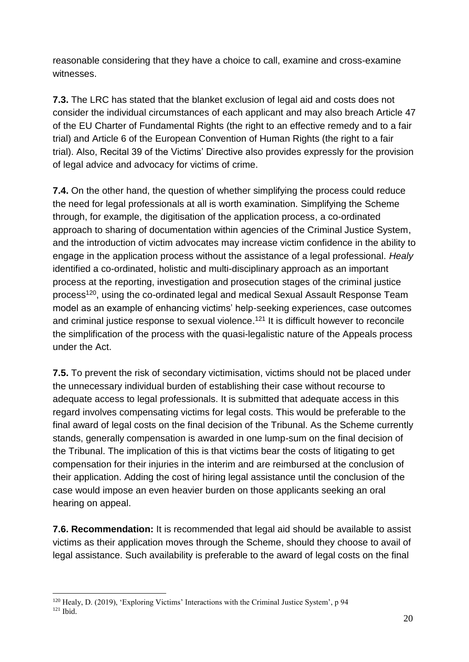reasonable considering that they have a choice to call, examine and cross-examine witnesses.

**7.3.** The LRC has stated that the blanket exclusion of legal aid and costs does not consider the individual circumstances of each applicant and may also breach Article 47 of the EU Charter of Fundamental Rights (the right to an effective remedy and to a fair trial) and Article 6 of the European Convention of Human Rights (the right to a fair trial). Also, Recital 39 of the Victims' Directive also provides expressly for the provision of legal advice and advocacy for victims of crime.

**7.4.** On the other hand, the question of whether simplifying the process could reduce the need for legal professionals at all is worth examination. Simplifying the Scheme through, for example, the digitisation of the application process, a co-ordinated approach to sharing of documentation within agencies of the Criminal Justice System, and the introduction of victim advocates may increase victim confidence in the ability to engage in the application process without the assistance of a legal professional. *Healy* identified a co-ordinated, holistic and multi-disciplinary approach as an important process at the reporting, investigation and prosecution stages of the criminal justice process<sup>120</sup>, using the co-ordinated legal and medical Sexual Assault Response Team model as an example of enhancing victims' help-seeking experiences, case outcomes and criminal justice response to sexual violence. <sup>121</sup> It is difficult however to reconcile the simplification of the process with the quasi-legalistic nature of the Appeals process under the Act.

**7.5.** To prevent the risk of secondary victimisation, victims should not be placed under the unnecessary individual burden of establishing their case without recourse to adequate access to legal professionals. It is submitted that adequate access in this regard involves compensating victims for legal costs. This would be preferable to the final award of legal costs on the final decision of the Tribunal. As the Scheme currently stands, generally compensation is awarded in one lump-sum on the final decision of the Tribunal. The implication of this is that victims bear the costs of litigating to get compensation for their injuries in the interim and are reimbursed at the conclusion of their application. Adding the cost of hiring legal assistance until the conclusion of the case would impose an even heavier burden on those applicants seeking an oral hearing on appeal.

**7.6. Recommendation:** It is recommended that legal aid should be available to assist victims as their application moves through the Scheme, should they choose to avail of legal assistance. Such availability is preferable to the award of legal costs on the final

 $\overline{a}$  $120$  Healy, D. (2019), 'Exploring Victims' Interactions with the Criminal Justice System', p 94 <sup>121</sup> Ibid.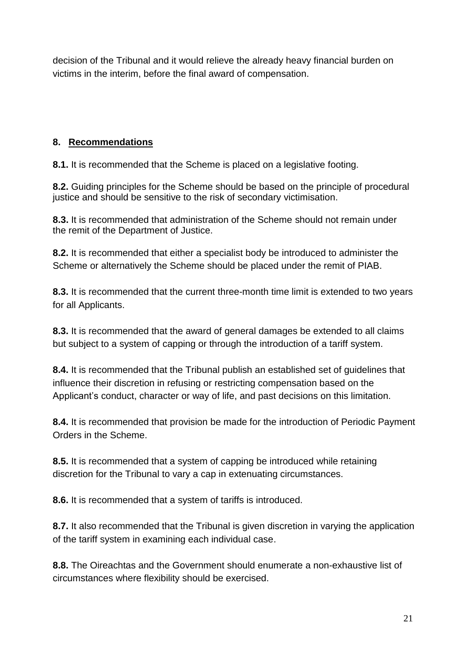decision of the Tribunal and it would relieve the already heavy financial burden on victims in the interim, before the final award of compensation.

#### **8. Recommendations**

**8.1.** It is recommended that the Scheme is placed on a legislative footing.

**8.2.** Guiding principles for the Scheme should be based on the principle of procedural justice and should be sensitive to the risk of secondary victimisation.

**8.3.** It is recommended that administration of the Scheme should not remain under the remit of the Department of Justice.

**8.2.** It is recommended that either a specialist body be introduced to administer the Scheme or alternatively the Scheme should be placed under the remit of PIAB.

**8.3.** It is recommended that the current three-month time limit is extended to two years for all Applicants.

**8.3.** It is recommended that the award of general damages be extended to all claims but subject to a system of capping or through the introduction of a tariff system.

**8.4.** It is recommended that the Tribunal publish an established set of guidelines that influence their discretion in refusing or restricting compensation based on the Applicant's conduct, character or way of life, and past decisions on this limitation.

**8.4.** It is recommended that provision be made for the introduction of Periodic Payment Orders in the Scheme.

**8.5.** It is recommended that a system of capping be introduced while retaining discretion for the Tribunal to vary a cap in extenuating circumstances.

**8.6.** It is recommended that a system of tariffs is introduced.

**8.7.** It also recommended that the Tribunal is given discretion in varying the application of the tariff system in examining each individual case.

**8.8.** The Oireachtas and the Government should enumerate a non-exhaustive list of circumstances where flexibility should be exercised.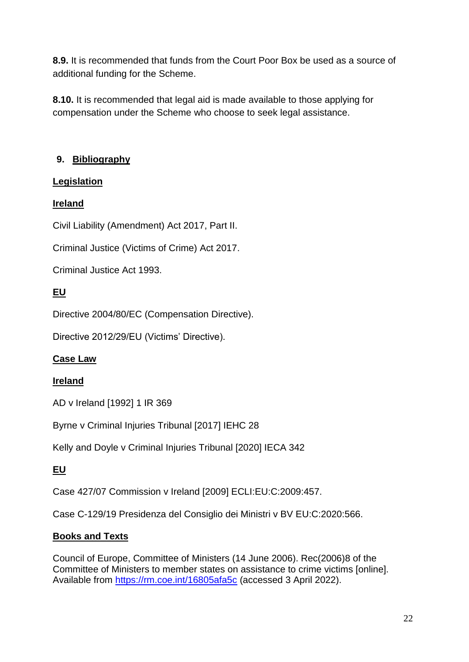**8.9.** It is recommended that funds from the Court Poor Box be used as a source of additional funding for the Scheme.

**8.10.** It is recommended that legal aid is made available to those applying for compensation under the Scheme who choose to seek legal assistance.

#### **9. Bibliography**

#### **Legislation**

#### **Ireland**

Civil Liability (Amendment) Act 2017, Part II.

Criminal Justice (Victims of Crime) Act 2017.

Criminal Justice Act 1993.

### **EU**

Directive 2004/80/EC (Compensation Directive).

Directive 2012/29/EU (Victims' Directive).

### **Case Law**

#### **Ireland**

AD v Ireland [1992] 1 IR 369

Byrne v Criminal Injuries Tribunal [2017] IEHC 28

Kelly and Doyle v Criminal Injuries Tribunal [2020] IECA 342

### **EU**

Case 427/07 Commission v Ireland [2009] ECLI:EU:C:2009:457.

Case C-129/19 Presidenza del Consiglio dei Ministri v BV EU:C:2020:566.

## **Books and Texts**

Council of Europe, Committee of Ministers (14 June 2006). Rec(2006)8 of the Committee of Ministers to member states on assistance to crime victims [online]. Available from<https://rm.coe.int/16805afa5c> (accessed 3 April 2022).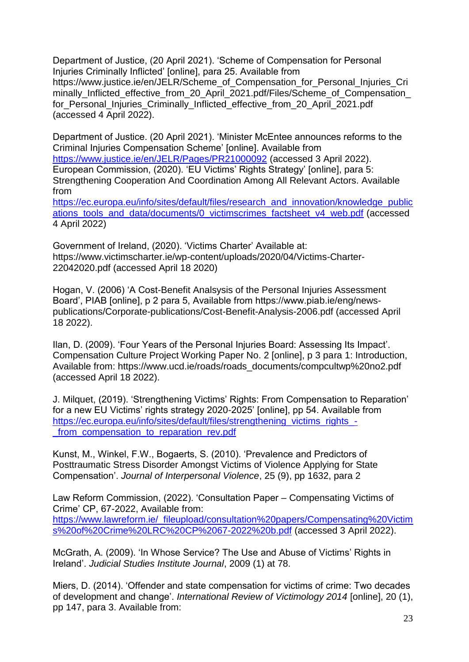Department of Justice, (20 April 2021). 'Scheme of Compensation for Personal Injuries Criminally Inflicted' [online], para 25. Available from https://www.justice.ie/en/JELR/Scheme\_of\_Compensation\_for\_Personal\_Injuries\_Cri minally\_Inflicted\_effective\_from\_20\_April\_2021.pdf/Files/Scheme\_of\_Compensation\_ for\_Personal\_Injuries\_Criminally\_Inflicted\_effective\_from\_20\_April\_2021.pdf (accessed 4 April 2022).

Department of Justice. (20 April 2021). 'Minister McEntee announces reforms to the Criminal Injuries Compensation Scheme' [online]. Available from <https://www.justice.ie/en/JELR/Pages/PR21000092> (accessed 3 April 2022). European Commission, (2020). 'EU Victims' Rights Strategy' [online], para 5: Strengthening Cooperation And Coordination Among All Relevant Actors. Available from

[https://ec.europa.eu/info/sites/default/files/research\\_and\\_innovation/knowledge\\_public](https://ec.europa.eu/info/sites/default/files/research_and_innovation/knowledge_publications_tools_and_data/documents/0_victimscrimes_factsheet_v4_web.pdf) [ations\\_tools\\_and\\_data/documents/0\\_victimscrimes\\_factsheet\\_v4\\_web.pdf](https://ec.europa.eu/info/sites/default/files/research_and_innovation/knowledge_publications_tools_and_data/documents/0_victimscrimes_factsheet_v4_web.pdf) (accessed 4 April 2022)

Government of Ireland, (2020). 'Victims Charter' Available at: https://www.victimscharter.ie/wp-content/uploads/2020/04/Victims-Charter-22042020.pdf (accessed April 18 2020)

Hogan, V. (2006) 'A Cost-Benefit Analsysis of the Personal Injuries Assessment Board', PIAB [online], p 2 para 5, Available from https://www.piab.ie/eng/newspublications/Corporate-publications/Cost-Benefit-Analysis-2006.pdf (accessed April 18 2022).

Ilan, D. (2009). 'Four Years of the Personal Injuries Board: Assessing Its Impact'. Compensation Culture Project Working Paper No. 2 [online], p 3 para 1: Introduction, Available from: https://www.ucd.ie/roads/roads\_documents/compcultwp%20no2.pdf (accessed April 18 2022).

J. Milquet, (2019). 'Strengthening Victims' Rights: From Compensation to Reparation' for a new EU Victims' rights strategy 2020-2025' [online], pp 54. Available from [https://ec.europa.eu/info/sites/default/files/strengthening\\_victims\\_rights\\_](https://ec.europa.eu/info/sites/default/files/strengthening_victims_rights_-_from_compensation_to_reparation_rev.pdf) from compensation to reparation rev.pdf

Kunst, M., Winkel, F.W., Bogaerts, S. (2010). 'Prevalence and Predictors of Posttraumatic Stress Disorder Amongst Victims of Violence Applying for State Compensation'. *Journal of Interpersonal Violence*, 25 (9), pp 1632, para 2

Law Reform Commission, (2022). 'Consultation Paper – Compensating Victims of Crime' CP, 67-2022, Available from: [https://www.lawreform.ie/\\_fileupload/consultation%20papers/Compensating%20Victim](https://www.lawreform.ie/_fileupload/consultation%20papers/Compensating%20Victims%20of%20Crime%20LRC%20CP%2067-2022%20b.pdf) [s%20of%20Crime%20LRC%20CP%2067-2022%20b.pdf](https://www.lawreform.ie/_fileupload/consultation%20papers/Compensating%20Victims%20of%20Crime%20LRC%20CP%2067-2022%20b.pdf) (accessed 3 April 2022).

McGrath, A. (2009). 'In Whose Service? The Use and Abuse of Victims' Rights in Ireland'. *Judicial Studies Institute Journal*, 2009 (1) at 78.

Miers, D. (2014). 'Offender and state compensation for victims of crime: Two decades of development and change'. *International Review of Victimology 2014* [online], 20 (1), pp 147, para 3. Available from: